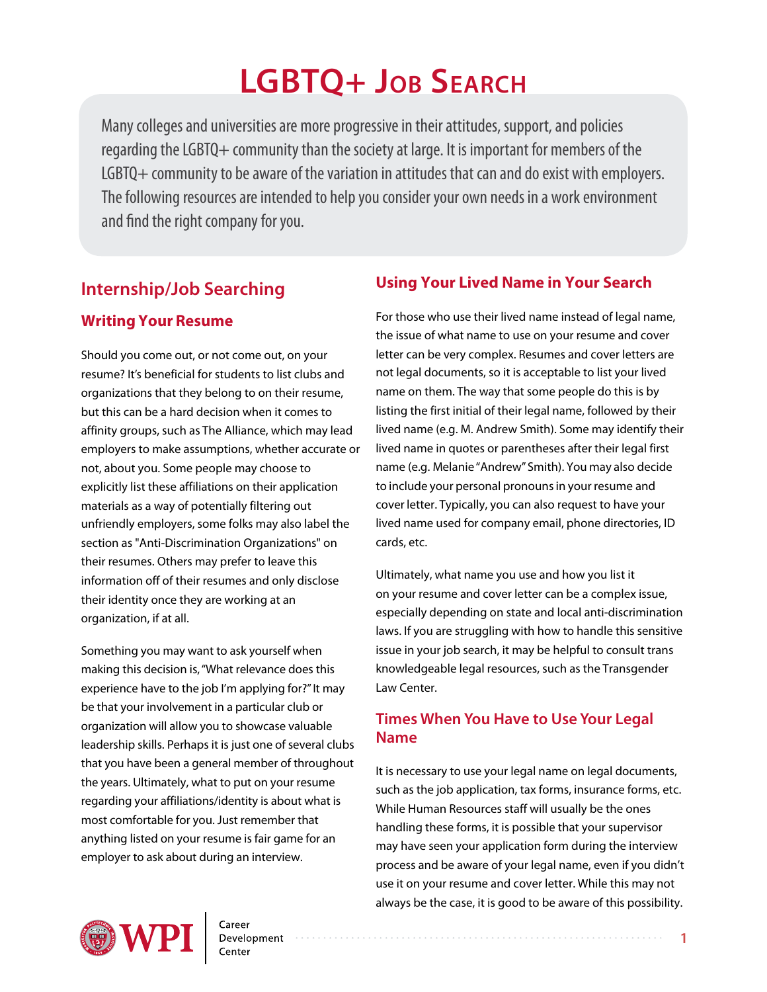# **LGBTQ+ Job Search**

Many colleges and universities are more progressive in their attitudes, support, and policies regarding the LGBTQ+ community than the society at large. It is important for members of the LGBTQ+ community to be aware of the variation in attitudes that can and do exist with employers. The following resources are intended to help you consider your own needs in a work environment and find the right company for you.

### **Internship/Job Searching**

#### **Writing Your Resume**

Should you come out, or not come out, on your resume? It's beneficial for students to list clubs and organizations that they belong to on their resume, but this can be a hard decision when it comes to affinity groups, such as The Alliance, which may lead employers to make assumptions, whether accurate or not, about you. Some people may choose to explicitly list these affiliations on their application materials as a way of potentially filtering out unfriendly employers, some folks may also label the section as "Anti-Discrimination Organizations" on their resumes. Others may prefer to leave this information off of their resumes and only disclose their identity once they are working at an organization, if at all.

Something you may want to ask yourself when making this decision is, "What relevance does this experience have to the job I'm applying for?" It may be that your involvement in a particular club or organization will allow you to showcase valuable leadership skills. Perhaps it is just one of several clubs that you have been a general member of throughout the years. Ultimately, what to put on your resume regarding your affiliations/identity is about what is most comfortable for you. Just remember that anything listed on your resume is fair game for an employer to ask about during an interview.

### **Using Your Lived Name in Your Search**

For those who use their lived name instead of legal name, the issue of what name to use on your resume and cover letter can be very complex. Resumes and cover letters are not legal documents, so it is acceptable to list your lived name on them. The way that some people do this is by listing the first initial of their legal name, followed by their lived name (e.g. M. Andrew Smith). Some may identify their lived name in quotes or parentheses after their legal first name (e.g. Melanie "Andrew" Smith). You may also decide to include your personal pronouns in your resume and cover letter. Typically, you can also request to have your lived name used for company email, phone directories, ID cards, etc.

Ultimately, what name you use and how you list it on your resume and cover letter can be a complex issue, especially depending on state and local anti-discrimination laws. If you are struggling with how to handle this sensitive issue in your job search, it may be helpful to consult trans knowledgeable legal resources, such as the Transgender Law Center.

### **Times When You Have to Use Your Legal Name**

It is necessary to use your legal name on legal documents, such as the job application, tax forms, insurance forms, etc. While Human Resources staff will usually be the ones handling these forms, it is possible that your supervisor may have seen your application form during the interview process and be aware of your legal name, even if you didn't use it on your resume and cover letter. While this may not always be the case, it is good to be aware of this possibility.

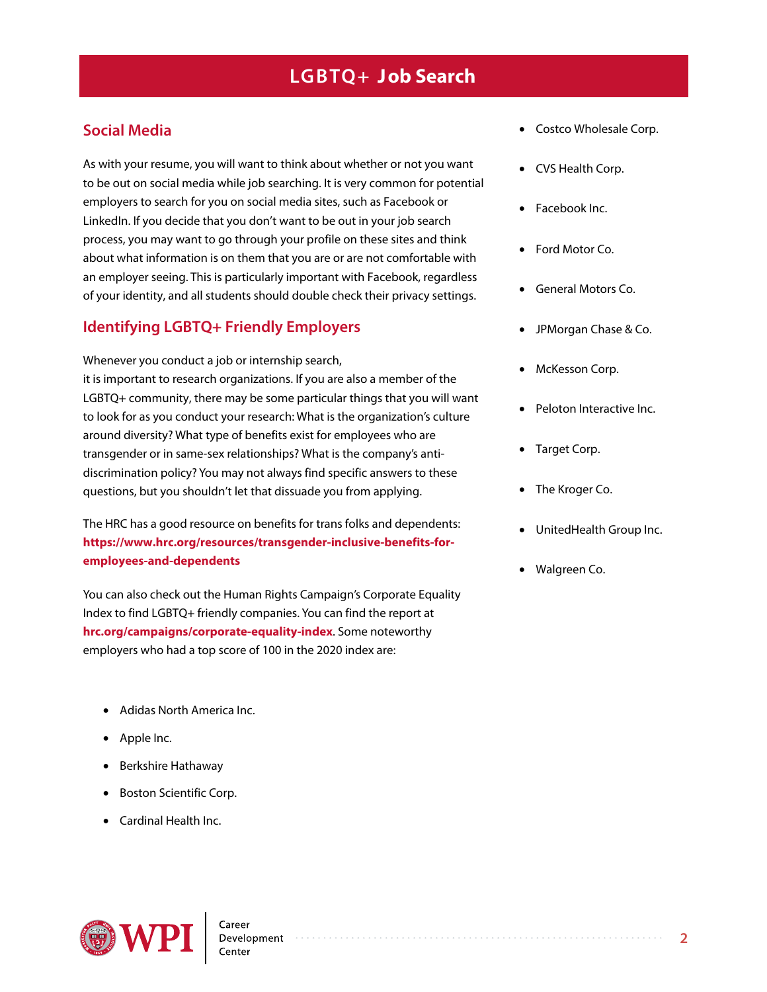### **Social Media**

As with your resume, you will want to think about whether or not you want to be out on social media while job searching. It is very common for potential employers to search for you on social media sites, such as Facebook or LinkedIn. If you decide that you don't want to be out in your job search process, you may want to go through your profile on these sites and think about what information is on them that you are or are not comfortable with an employer seeing. This is particularly important with Facebook, regardless of your identity, and all students should double check their privacy settings.

### **Identifying LGBTQ+ Friendly Employers**

Whenever you conduct a job or internship search, it is important to research organizations. If you are also a member of the LGBTQ+ community, there may be some particular things that you will want to look for as you conduct your research: What is the organization's culture around diversity? What type of benefits exist for employees who are transgender or in same-sex relationships? What is the company's antidiscrimination policy? You may not always find specific answers to these questions, but you shouldn't let that dissuade you from applying.

The HRC has a good resource on benefits for trans folks and dependents: **https://www.hrc.org/resources/transgender-inclusive-benefits-foremployees-and-dependents**

You can also check out the Human Rights Campaign's Corporate Equality Index to find LGBTQ+ friendly companies. You can find the report at **[hrc.org/campaigns/corporate-equality-index](http://www.hrc.org/campaigns/corporate-equality-index)**. Some noteworthy employers who had a top score of 100 in the 2020 index are:

- Adidas North America Inc.
- Apple Inc.
- Berkshire Hathaway
- Boston Scientific Corp.
- Cardinal Health Inc.
- Costco Wholesale Corp.
- CVS Health Corp.
- Facebook Inc.
- Ford Motor Co.
- General Motors Co.
- JPMorgan Chase & Co.
- McKesson Corp.
- Peloton Interactive Inc.
- Target Corp.
- The Kroger Co.
- UnitedHealth Group Inc.
- Walgreen Co.

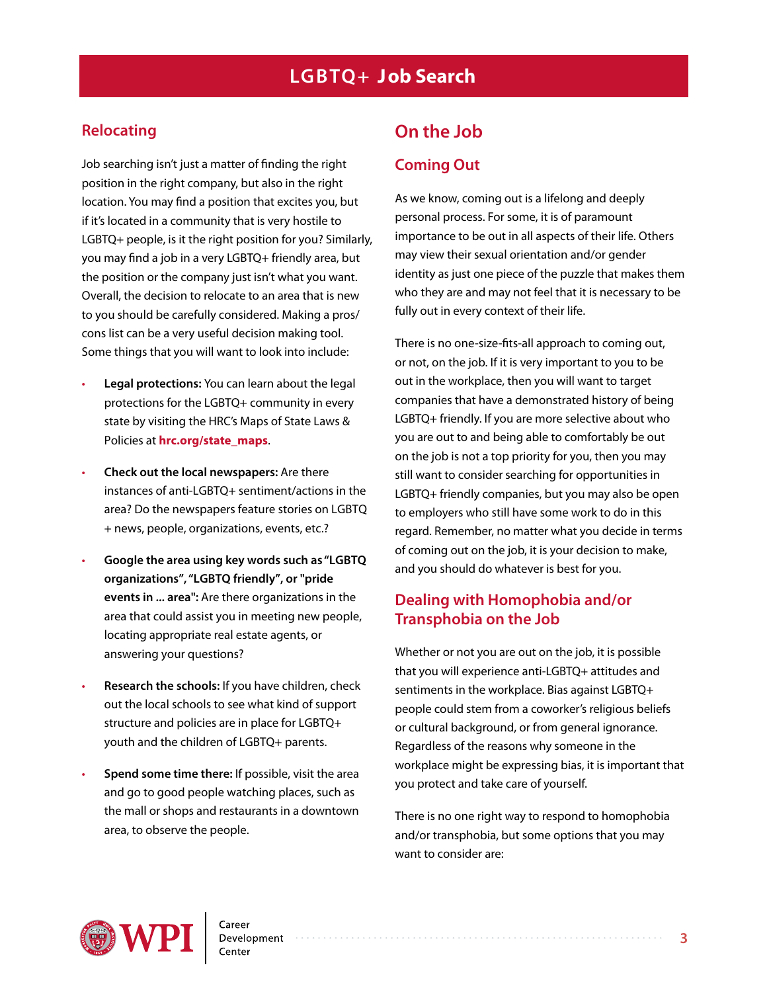### **Relocating**

Job searching isn't just a matter of finding the right position in the right company, but also in the right location. You may find a position that excites you, but if it's located in a community that is very hostile to LGBTQ+ people, is it the right position for you? Similarly, you may find a job in a very LGBTQ+ friendly area, but the position or the company just isn't what you want. Overall, the decision to relocate to an area that is new to you should be carefully considered. Making a pros/ cons list can be a very useful decision making tool. Some things that you will want to look into include:

- **Legal protections:** You can learn about the legal protections for the LGBTQ+ community in every state by visiting the HRC's Maps of State Laws & Policies at **[hrc.org/state\\_maps](www.hrc.org/state_maps)**.
- **Check out the local newspapers:** Are there instances of anti-LGBTQ+ sentiment/actions in the area? Do the newspapers feature stories on LGBTQ + news, people, organizations, events, etc.?
- **Google the area using key words such as "LGBTQ organizations", "LGBTQ friendly", or "pride events in ... area":** Are there organizations in the area that could assist you in meeting new people, locating appropriate real estate agents, or answering your questions?
- **Research the schools:** If you have children, check out the local schools to see what kind of support structure and policies are in place for LGBTQ+ youth and the children of LGBTQ+ parents.
- **Spend some time there:** If possible, visit the area and go to good people watching places, such as the mall or shops and restaurants in a downtown area, to observe the people.

# **On the Job**

### **Coming Out**

As we know, coming out is a lifelong and deeply personal process. For some, it is of paramount importance to be out in all aspects of their life. Others may view their sexual orientation and/or gender identity as just one piece of the puzzle that makes them who they are and may not feel that it is necessary to be fully out in every context of their life.

There is no one-size-fits-all approach to coming out, or not, on the job. If it is very important to you to be out in the workplace, then you will want to target companies that have a demonstrated history of being LGBTQ+ friendly. If you are more selective about who you are out to and being able to comfortably be out on the job is not a top priority for you, then you may still want to consider searching for opportunities in LGBTQ+ friendly companies, but you may also be open to employers who still have some work to do in this regard. Remember, no matter what you decide in terms of coming out on the job, it is your decision to make, and you should do whatever is best for you.

### **Dealing with Homophobia and/or Transphobia on the Job**

Whether or not you are out on the job, it is possible that you will experience anti-LGBTQ+ attitudes and sentiments in the workplace. Bias against LGBTQ+ people could stem from a coworker's religious beliefs or cultural background, or from general ignorance. Regardless of the reasons why someone in the workplace might be expressing bias, it is important that you protect and take care of yourself.

There is no one right way to respond to homophobia and/or transphobia, but some options that you may want to consider are: